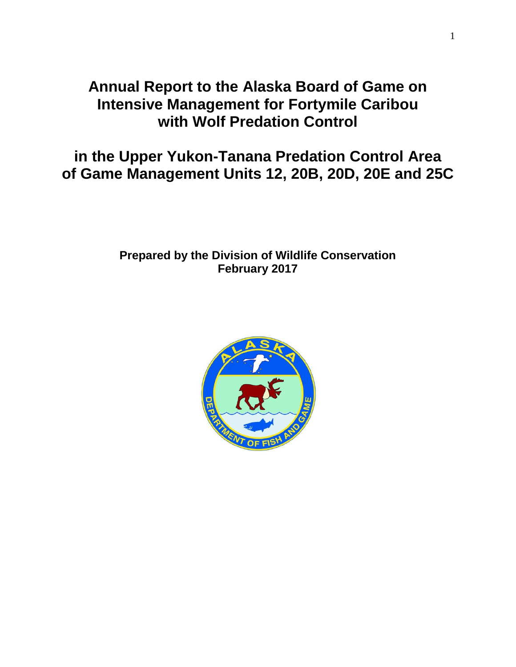# **Annual Report to the Alaska Board of Game on Intensive Management for Fortymile Caribou with Wolf Predation Control**

**in the Upper Yukon-Tanana Predation Control Area of Game Management Units 12, 20B, 20D, 20E and 25C**

## **Prepared by the Division of Wildlife Conservation February 2017**

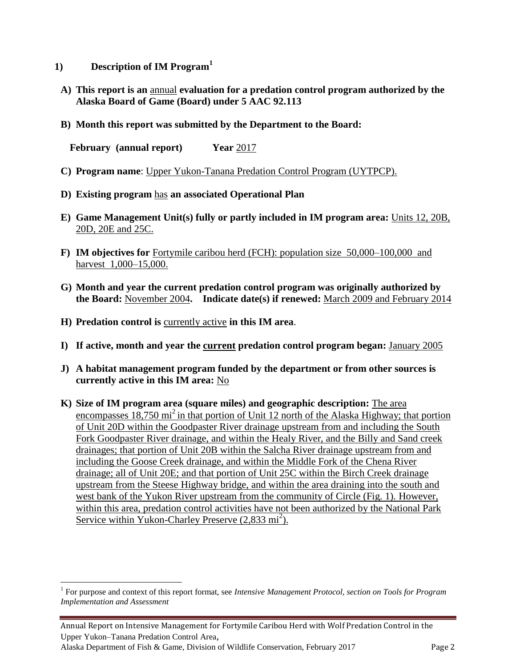- **1) Description of IM Program<sup>1</sup>**
	- **A) This report is an** annual **evaluation for a predation control program authorized by the Alaska Board of Game (Board) under 5 AAC 92.113**
	- **B) Month this report was submitted by the Department to the Board:**

**February (annual report) Year** 2017

- **C) Program name**: Upper Yukon-Tanana Predation Control Program (UYTPCP).
- **D) Existing program** has **an associated Operational Plan**
- **E) Game Management Unit(s) fully or partly included in IM program area:** Units 12, 20B, 20D, 20E and 25C.
- **F) IM objectives for** Fortymile caribou herd (FCH): population size 50,000–100,000 and harvest 1,000–15,000.
- **G) Month and year the current predation control program was originally authorized by the Board:** November 2004**. Indicate date(s) if renewed:** March 2009 and February 2014
- **H) Predation control is** currently active **in this IM area**.

 $\overline{a}$ 

- **I) If active, month and year the current predation control program began:** January 2005
- **J) A habitat management program funded by the department or from other sources is currently active in this IM area:** No
- **K) Size of IM program area (square miles) and geographic description:** The area encompasses 18,750 mi<sup>2</sup> in that portion of Unit 12 north of the Alaska Highway; that portion of Unit 20D within the Goodpaster River drainage upstream from and including the South Fork Goodpaster River drainage, and within the Healy River, and the Billy and Sand creek drainages; that portion of Unit 20B within the Salcha River drainage upstream from and including the Goose Creek drainage, and within the Middle Fork of the Chena River drainage; all of Unit 20E; and that portion of Unit 25C within the Birch Creek drainage upstream from the Steese Highway bridge, and within the area draining into the south and west bank of the Yukon River upstream from the community of Circle (Fig. 1). However, within this area, predation control activities have not been authorized by the National Park Service within Yukon-Charley Preserve (2,833 mi<sup>2</sup>).

<sup>&</sup>lt;sup>1</sup> For purpose and context of this report format, see *Intensive Management Protocol, section on Tools for Program Implementation and Assessment*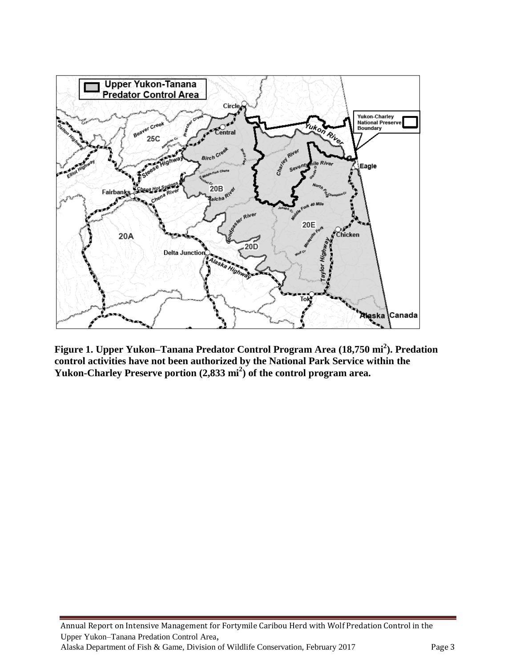

**Figure 1. Upper Yukon–Tanana Predator Control Program Area (18,750 mi<sup>2</sup> ). Predation control activities have not been authorized by the National Park Service within the Yukon-Charley Preserve portion (2,833 mi<sup>2</sup> ) of the control program area.**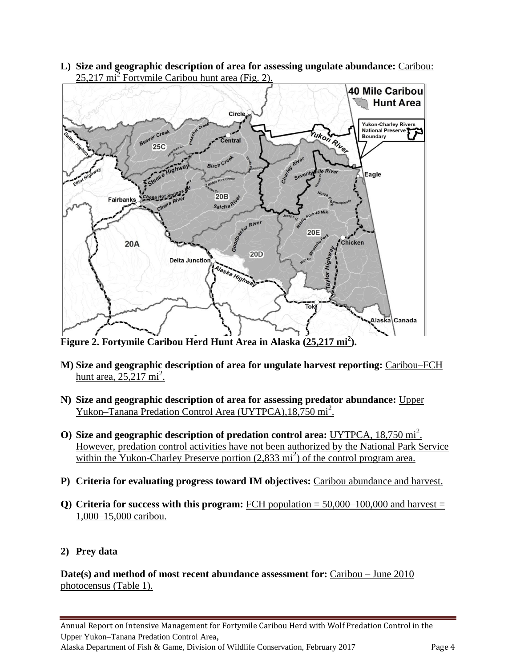**L) Size and geographic description of area for assessing ungulate abundance:** Caribou:  $25,217 \text{ mi}^2$  Fortymile Caribou hunt area (Fig. 2).



**Figure 2. Fortymile Caribou Herd Hunt Area in Alaska (25,217 mi<sup>2</sup> ).**

- **M) Size and geographic description of area for ungulate harvest reporting:** Caribou–FCH hunt area,  $25,217 \text{ mi}^2$ .
- **N) Size and geographic description of area for assessing predator abundance:** Upper Yukon–Tanana Predation Control Area (UYTPCA), 18,750 mi<sup>2</sup>.
- **O)** Size and geographic description of predation control area: UYTPCA, 18,750 mi<sup>2</sup>. However, predation control activities have not been authorized by the National Park Service within the Yukon-Charley Preserve portion  $(2,833 \text{ mi}^2)$  of the control program area.
- **P) Criteria for evaluating progress toward IM objectives:** Caribou abundance and harvest.
- **Q)** Criteria for success with this program: FCH population  $= 50,000-100,000$  and harvest  $=$ 1,000–15,000 caribou.

### **2) Prey data**

**Date(s) and method of most recent abundance assessment for:** Caribou – June 2010 photocensus (Table 1).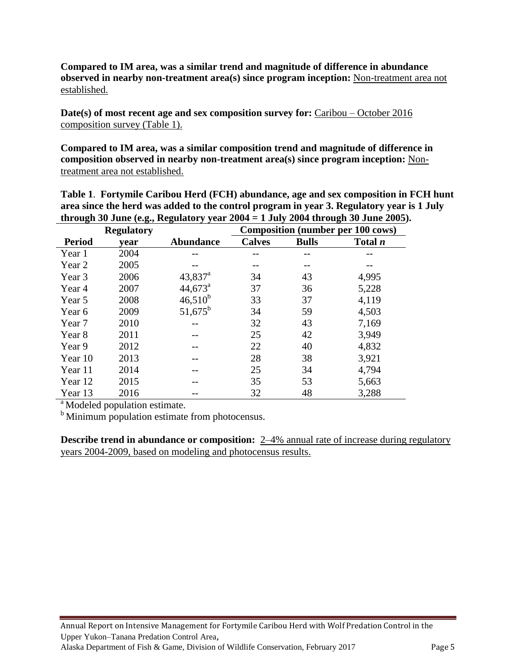**Compared to IM area, was a similar trend and magnitude of difference in abundance observed in nearby non-treatment area(s) since program inception:** Non-treatment area not established.

**Date(s) of most recent age and sex composition survey for:** Caribou – October 2016 composition survey (Table 1).

**Compared to IM area, was a similar composition trend and magnitude of difference in composition observed in nearby non-treatment area(s) since program inception:** Nontreatment area not established.

| through 30 June (e.g., Regulatory year $2004 = 1$ July 2004 through 30 June 2005). |                   |                  |                                          |              |                |  |  |  |
|------------------------------------------------------------------------------------|-------------------|------------------|------------------------------------------|--------------|----------------|--|--|--|
|                                                                                    | <b>Regulatory</b> |                  | <b>Composition (number per 100 cows)</b> |              |                |  |  |  |
| <b>Period</b>                                                                      | vear              | <b>Abundance</b> | <b>Calves</b>                            | <b>Bulls</b> | Total <i>n</i> |  |  |  |
| Year 1                                                                             | 2004              |                  |                                          |              |                |  |  |  |
| Year 2                                                                             | 2005              |                  |                                          |              |                |  |  |  |
| Year 3                                                                             | 2006              | $43,837^{\rm a}$ | 34                                       | 43           | 4,995          |  |  |  |
| Year 4                                                                             | 2007              | $44,673^{\circ}$ | 37                                       | 36           | 5,228          |  |  |  |
| Year 5                                                                             | 2008              | $46,510^{b}$     | 33                                       | 37           | 4,119          |  |  |  |
| Year 6                                                                             | 2009              | $51,675^{\rm b}$ | 34                                       | 59           | 4,503          |  |  |  |
| Year 7                                                                             | 2010              |                  | 32                                       | 43           | 7,169          |  |  |  |
| Year 8                                                                             | 2011              |                  | 25                                       | 42           | 3,949          |  |  |  |
| Year 9                                                                             | 2012              |                  | 22                                       | 40           | 4,832          |  |  |  |
| Year 10                                                                            | 2013              |                  | 28                                       | 38           | 3,921          |  |  |  |
| Year 11                                                                            | 2014              |                  | 25                                       | 34           | 4,794          |  |  |  |
| Year 12                                                                            | 2015              |                  | 35                                       | 53           | 5,663          |  |  |  |
| Year 13                                                                            | 2016              |                  | 32                                       | 48           | 3,288          |  |  |  |

**Table 1**. **Fortymile Caribou Herd (FCH) abundance, age and sex composition in FCH hunt area since the herd was added to the control program in year 3. Regulatory year is 1 July** 

<sup>a</sup> Modeled population estimate.

<sup>b</sup> Minimum population estimate from photocensus.

**Describe trend in abundance or composition:** 2–4% annual rate of increase during regulatory years 2004-2009, based on modeling and photocensus results.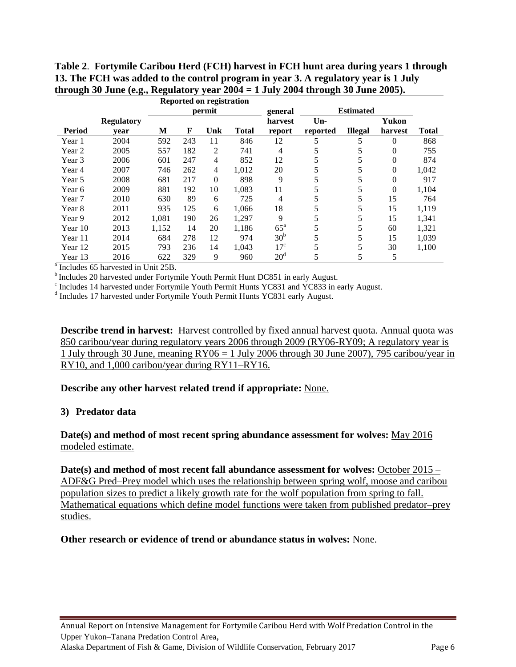| Table 2. Fortymile Caribou Herd (FCH) harvest in FCH hunt area during years 1 through |
|---------------------------------------------------------------------------------------|
| 13. The FCH was added to the control program in year 3. A regulatory year is 1 July   |
| through 30 June (e.g., Regulatory year $2004 = 1$ July 2004 through 30 June 2005).    |

|               |                   |        |     | <b>Reported on registration</b> |              |                   |          |                |          |              |
|---------------|-------------------|--------|-----|---------------------------------|--------------|-------------------|----------|----------------|----------|--------------|
|               |                   | permit |     |                                 | general      | <b>Estimated</b>  |          |                |          |              |
|               | <b>Regulatory</b> |        |     |                                 |              | harvest           | $Un-$    |                | Yukon    |              |
| <b>Period</b> | vear              | М      | F   | Unk                             | <b>Total</b> | report            | reported | <b>Illegal</b> | harvest  | <b>Total</b> |
| Year 1        | 2004              | 592    | 243 | 11                              | 846          | 12                | 5        | 5              | 0        | 868          |
| Year 2        | 2005              | 557    | 182 | 2                               | 741          | 4                 | 5        | 5              | 0        | 755          |
| Year 3        | 2006              | 601    | 247 | 4                               | 852          | 12                | 5        |                | $\Omega$ | 874          |
| Year 4        | 2007              | 746    | 262 | 4                               | 1.012        | 20                | 5        |                | 0        | 1,042        |
| Year 5        | 2008              | 681    | 217 | $\mathbf{0}$                    | 898          | 9                 | 5        |                | $\Omega$ | 917          |
| Year 6        | 2009              | 881    | 192 | 10                              | 1,083        | 11                | 5        |                | $\Omega$ | 1,104        |
| Year 7        | 2010              | 630    | 89  | 6                               | 725          | 4                 | 5        | 5              | 15       | 764          |
| Year 8        | 2011              | 935    | 125 | 6                               | 1.066        | 18                | 5        | 5              | 15       | 1,119        |
| Year 9        | 2012              | 1,081  | 190 | 26                              | 1.297        | 9                 | 5        | 5              | 15       | 1,341        |
| Year 10       | 2013              | 1,152  | 14  | 20                              | 1,186        | $65^{\mathrm{a}}$ | 5        | 5              | 60       | 1,321        |
| Year 11       | 2014              | 684    | 278 | 12                              | 974          | 30 <sup>b</sup>   | 5        | 5              | 15       | 1,039        |
| Year 12       | 2015              | 793    | 236 | 14                              | 1.043        | $17^{\circ}$      | 5        | 5              | 30       | 1,100        |
| Year 13       | 2016              | 622    | 329 | 9                               | 960          | 20 <sup>d</sup>   | 5        | 5              | 5        |              |

<sup>a</sup> Includes 65 harvested in Unit 25B.

 $<sup>b</sup>$  Includes 20 harvested under Fortymile Youth Permit Hunt DC851 in early August.</sup>

<sup>c</sup> Includes 14 harvested under Fortymile Youth Permit Hunts YC831 and YC833 in early August.

<sup>d</sup> Includes 17 harvested under Fortymile Youth Permit Hunts YC831 early August.

**Describe trend in harvest:** Harvest controlled by fixed annual harvest quota. Annual quota was 850 caribou/year during regulatory years 2006 through 2009 (RY06-RY09; A regulatory year is 1 July through 30 June, meaning  $RY06 = 1$  July 2006 through 30 June 2007), 795 caribou/year in RY10, and 1,000 caribou/year during RY11–RY16.

#### **Describe any other harvest related trend if appropriate:** None.

#### **3) Predator data**

#### **Date(s) and method of most recent spring abundance assessment for wolves:** May 2016 modeled estimate.

**Date(s) and method of most recent fall abundance assessment for wolves:** October 2015 – ADF&G Pred–Prey model which uses the relationship between spring wolf, moose and caribou population sizes to predict a likely growth rate for the wolf population from spring to fall. Mathematical equations which define model functions were taken from published predator–prey studies.

#### **Other research or evidence of trend or abundance status in wolves:** None.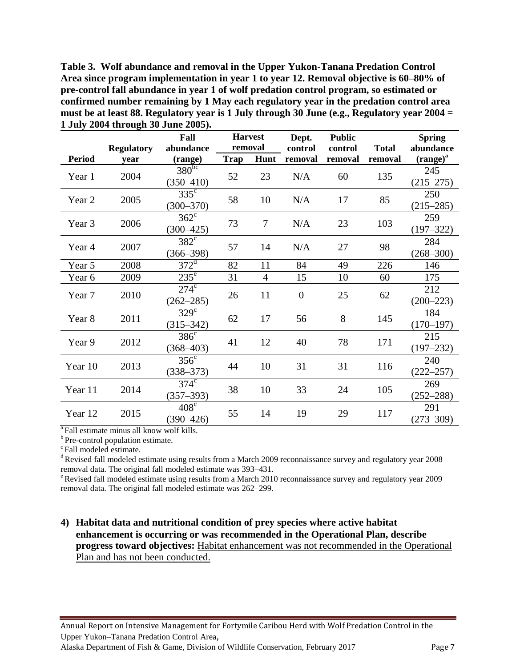**Table 3. Wolf abundance and removal in the Upper Yukon-Tanana Predation Control Area since program implementation in year 1 to year 12. Removal objective is 60–80% of pre-control fall abundance in year 1 of wolf predation control program, so estimated or confirmed number remaining by 1 May each regulatory year in the predation control area must be at least 88. Regulatory year is 1 July through 30 June (e.g., Regulatory year 2004 = 1 July 2004 through 30 June 2005).**

|               |                           | Fall<br>abundance              | <b>Harvest</b><br>removal |                | Dept.              | <b>Public</b><br>control |                         | <b>Spring</b><br>abundance |
|---------------|---------------------------|--------------------------------|---------------------------|----------------|--------------------|--------------------------|-------------------------|----------------------------|
| <b>Period</b> | <b>Regulatory</b><br>vear | (range)                        | <b>Trap</b>               | Hunt           | control<br>removal | removal                  | <b>Total</b><br>removal | $(range)^{a}$              |
| Year 1        | 2004                      | $380^{bc}$<br>$(350 - 410)$    | 52                        | 23             | N/A                | 60                       | 135                     | 245<br>$(215 - 275)$       |
| Year 2        | 2005                      | $335^{\circ}$<br>$(300 - 370)$ | 58                        | 10             | N/A                | 17                       | 85                      | 250<br>$(215 - 285)$       |
| Year 3        | 2006                      | $362^{\circ}$<br>$(300 - 425)$ | 73                        | $\overline{7}$ | N/A                | 23                       | 103                     | 259<br>$(197 - 322)$       |
| Year 4        | 2007                      | $382^{\circ}$<br>$(366 - 398)$ | 57                        | 14             | N/A                | 27                       | 98                      | 284<br>$(268 - 300)$       |
| Year 5        | 2008                      | $372^{\mathrm{d}}$             | 82                        | 11             | 84                 | 49                       | 226                     | 146                        |
| Year 6        | 2009                      | $235^{\overline{e}}$           | 31                        | $\overline{4}$ | 15                 | 10                       | 60                      | 175                        |
| Year 7        | 2010                      | $274^\circ$<br>$(262 - 285)$   | 26                        | 11             | $\overline{0}$     | 25                       | 62                      | 212<br>$(200 - 223)$       |
| Year 8        | 2011                      | $329^\circ$<br>$(315 - 342)$   | 62                        | 17             | 56                 | 8                        | 145                     | 184<br>$(170 - 197)$       |
| Year 9        | 2012                      | $386^{\circ}$<br>$(368 - 403)$ | 41                        | 12             | 40                 | 78                       | 171                     | 215<br>$(197 - 232)$       |
| Year 10       | 2013                      | $356^{\circ}$<br>$(338 - 373)$ | 44                        | 10             | 31                 | 31                       | 116                     | 240<br>$(222 - 257)$       |
| Year 11       | 2014                      | $374^{\circ}$<br>$(357 - 393)$ | 38                        | 10             | 33                 | 24                       | 105                     | 269<br>$(252 - 288)$       |
| Year 12       | 2015                      | $408^\circ$<br>$(390 - 426)$   | 55                        | 14             | 19                 | 29                       | 117                     | 291<br>$(273 - 309)$       |

<sup>a</sup>Fall estimate minus all know wolf kills.

<sup>b</sup> Pre-control population estimate.

 $\degree$ Fall modeled estimate.

<sup>d</sup> Revised fall modeled estimate using results from a March 2009 reconnaissance survey and regulatory year 2008 removal data. The original fall modeled estimate was 393–431.

 $\textdegree$ Revised fall modeled estimate using results from a March 2010 reconnaissance survey and regulatory year 2009 removal data. The original fall modeled estimate was 262–299.

#### **4) Habitat data and nutritional condition of prey species where active habitat enhancement is occurring or was recommended in the Operational Plan, describe progress toward objectives:** Habitat enhancement was not recommended in the Operational Plan and has not been conducted.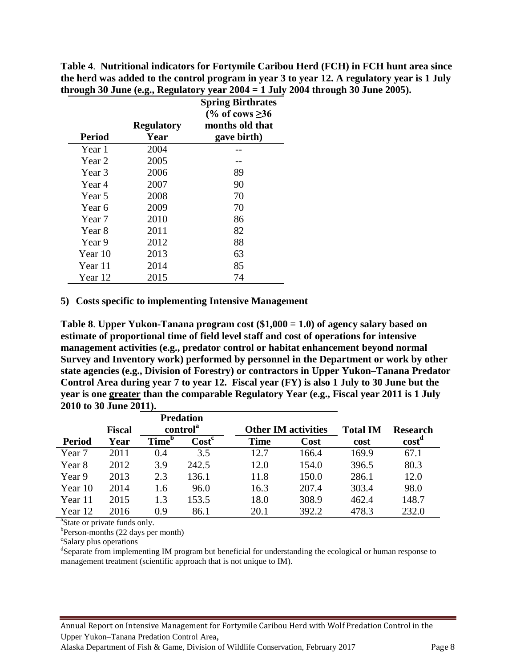|               |                   | <b>Spring Birthrates</b> |
|---------------|-------------------|--------------------------|
|               |                   | (% of cows $\geq 36$ )   |
|               | <b>Regulatory</b> | months old that          |
| <b>Period</b> | Year              | gave birth)              |
| Year 1        | 2004              |                          |
| Year 2        | 2005              |                          |
| Year 3        | 2006              | 89                       |
| Year 4        | 2007              | 90                       |
| Year 5        | 2008              | 70                       |
| Year 6        | 2009              | 70                       |
| Year 7        | 2010              | 86                       |
| Year 8        | 2011              | 82                       |
| Year 9        | 2012              | 88                       |
| Year 10       | 2013              | 63                       |
| Year 11       | 2014              | 85                       |
| Year 12       | 2015              | 74                       |

**Table 4**. **Nutritional indicators for Fortymile Caribou Herd (FCH) in FCH hunt area since the herd was added to the control program in year 3 to year 12. A regulatory year is 1 July through 30 June (e.g., Regulatory year 2004 = 1 July 2004 through 30 June 2005).**

#### **5) Costs specific to implementing Intensive Management**

**Table 8**. **Upper Yukon-Tanana program cost (\$1,000 = 1.0) of agency salary based on estimate of proportional time of field level staff and cost of operations for intensive management activities (e.g., predator control or habitat enhancement beyond normal Survey and Inventory work) performed by personnel in the Department or work by other state agencies (e.g., Division of Forestry) or contractors in Upper Yukon–Tanana Predator Control Area during year 7 to year 12. Fiscal year (FY) is also 1 July to 30 June but the year is one greater than the comparable Regulatory Year (e.g., Fiscal year 2011 is 1 July 2010 to 30 June 2011).** 

|               |               |                      | <b>Predation</b> |                            |       |                 |                   |
|---------------|---------------|----------------------|------------------|----------------------------|-------|-----------------|-------------------|
|               | <b>Fiscal</b> | control <sup>a</sup> |                  | <b>Other IM activities</b> |       | <b>Total IM</b> | <b>Research</b>   |
| <b>Period</b> | Year          | Time <sup>b</sup>    | $\bf Cost^c$     | <b>Time</b>                | Cost  | cost            | cost <sup>d</sup> |
| Year 7        | 2011          | 0.4                  | 3.5              | 12.7                       | 166.4 | 169.9           | 67.1              |
| Year 8        | 2012          | 3.9                  | 242.5            | 12.0                       | 154.0 | 396.5           | 80.3              |
| Year 9        | 2013          | 2.3                  | 136.1            | 11.8                       | 150.0 | 286.1           | 12.0              |
| Year 10       | 2014          | 1.6                  | 96.0             | 16.3                       | 207.4 | 303.4           | 98.0              |
| Year 11       | 2015          | 1.3                  | 153.5            | 18.0                       | 308.9 | 462.4           | 148.7             |
| Year 12       | 2016          | 0.9                  | 86.1             | 20.1                       | 392.2 | 478.3           | 232.0             |

<sup>a</sup>State or private funds only.

b<sub>Person-months</sub> (22 days per month)

c Salary plus operations

<sup>d</sup>Separate from implementing IM program but beneficial for understanding the ecological or human response to management treatment (scientific approach that is not unique to IM).

Annual Report on Intensive Management for Fortymile Caribou Herd with Wolf Predation Control in the Upper Yukon–Tanana Predation Control Area,

Alaska Department of Fish & Game, Division of Wildlife Conservation, February 2017 Page 8